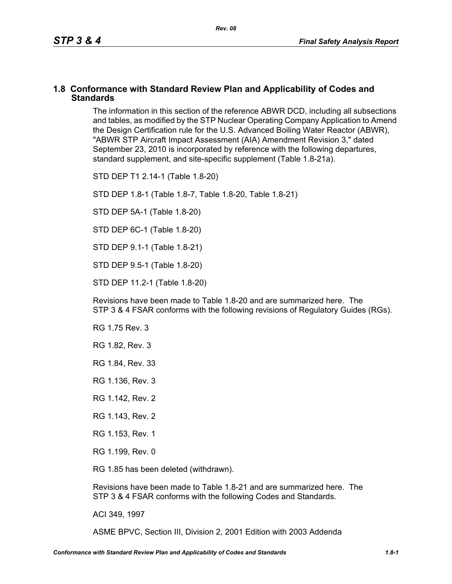# **1.8 Conformance with Standard Review Plan and Applicability of Codes and Standards**

The information in this section of the reference ABWR DCD, including all subsections and tables, as modified by the STP Nuclear Operating Company Application to Amend the Design Certification rule for the U.S. Advanced Boiling Water Reactor (ABWR), "ABWR STP Aircraft Impact Assessment (AIA) Amendment Revision 3," dated September 23, 2010 is incorporated by reference with the following departures, standard supplement, and site-specific supplement (Table 1.8-21a).

STD DEP T1 2.14-1 (Table 1.8-20)

STD DEP 1.8-1 (Table 1.8-7, Table [1.8-20,](#page-2-0) Table [1.8-21\)](#page-4-0)

STD DEP 5A-1 (Table 1.8-20)

STD DEP 6C-1 (Table [1.8-20\)](#page-2-0)

STD DEP 9.1-1 (Table 1.8-21)

STD DEP 9.5-1 (Table 1.8-20)

STD DEP 11.2-1 (Table [1.8-20](#page-2-0))

Revisions have been made to Table [1.8-20](#page-2-0) and are summarized here. The STP 3 & 4 FSAR conforms with the following revisions of Regulatory Guides (RGs).

- RG 1.75 Rev. 3
- RG 1.82, Rev. 3
- RG 1.84, Rev. 33
- RG 1.136, Rev. 3
- RG 1.142, Rev. 2
- RG 1.143, Rev. 2
- RG 1.153, Rev. 1
- RG 1.199, Rev. 0

RG 1.85 has been deleted (withdrawn).

Revisions have been made to Table [1.8-21](#page-4-0) and are summarized here. The STP 3 & 4 FSAR conforms with the following Codes and Standards.

ACI 349, 1997

ASME BPVC, Section III, Division 2, 2001 Edition with 2003 Addenda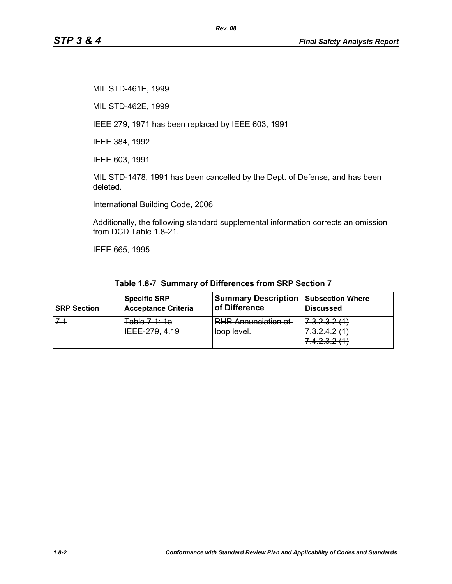MIL STD-461E, 1999

MIL STD-462E, 1999

IEEE 279, 1971 has been replaced by IEEE 603, 1991

IEEE 384, 1992

IEEE 603, 1991

MIL STD-1478, 1991 has been cancelled by the Dept. of Defense, and has been deleted.

*Rev. 08*

International Building Code, 2006

Additionally, the following standard supplemental information corrects an omission from DCD Table 1.8-21.

IEEE 665, 1995

|  |  | Table 1.8-7 Summary of Differences from SRP Section 7 |  |  |
|--|--|-------------------------------------------------------|--|--|
|--|--|-------------------------------------------------------|--|--|

| <b>SRP Section</b> | <b>Specific SRP</b>                                                   | <b>Summary Description</b>                | Subsection Where                                                                         |
|--------------------|-----------------------------------------------------------------------|-------------------------------------------|------------------------------------------------------------------------------------------|
|                    | Acceptance Criteria                                                   | of Difference                             | <b>Discussed</b>                                                                         |
|                    | <u> 10 11 7 مامه T</u><br><del>ravic roma i d</del><br>IEEE 279, 4.19 | <b>RHR Annunciation at</b><br>loop level. | C C C C C<br>1.0.2.0.2.1<br>22121<br>7.0.2.7.2 11<br>7 1 7 2 9 11 1<br>7. T. Z. U. Z. TT |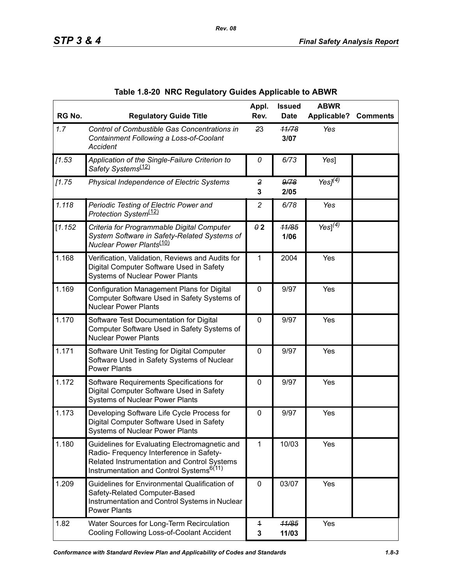<span id="page-2-0"></span>

| RG No.  | <b>Regulatory Guide Title</b>                                                                                                                                                                    | Appl.<br>Rev.   | <b>Issued</b><br><b>Date</b> | <b>ABWR</b><br><b>Applicable?</b> | <b>Comments</b> |
|---------|--------------------------------------------------------------------------------------------------------------------------------------------------------------------------------------------------|-----------------|------------------------------|-----------------------------------|-----------------|
| 1.7     | Control of Combustible Gas Concentrations in<br>Containment Following a Loss-of-Coolant<br>Accident                                                                                              | 23              | 11/78<br>3/07                | Yes                               |                 |
| [1.53]  | Application of the Single-Failure Criterion to<br>Safety Systems <sup>(12)</sup>                                                                                                                 | 0               | 6/73                         | Yes]                              |                 |
| [1.75]  | Physical Independence of Electric Systems                                                                                                                                                        | 2<br>3          | 9/78<br>2/05                 | Yes $J(4)$                        |                 |
| 1.118   | Periodic Testing of Electric Power and<br>Protection System <sup>(12)</sup>                                                                                                                      | $\overline{c}$  | 6/78                         | Yes                               |                 |
| [1.152] | Criteria for Programmable Digital Computer<br>System Software in Safety-Related Systems of<br>Nuclear Power Plants <sup>(10)</sup>                                                               | $\theta$ 2      | 11/85<br>1/06                | Yes] $^{(4)}$                     |                 |
| 1.168   | Verification, Validation, Reviews and Audits for<br>Digital Computer Software Used in Safety<br><b>Systems of Nuclear Power Plants</b>                                                           | 1               | 2004                         | Yes                               |                 |
| 1.169   | Configuration Management Plans for Digital<br>Computer Software Used in Safety Systems of<br><b>Nuclear Power Plants</b>                                                                         | $\mathbf 0$     | 9/97                         | Yes                               |                 |
| 1.170   | Software Test Documentation for Digital<br>Computer Software Used in Safety Systems of<br><b>Nuclear Power Plants</b>                                                                            | $\mathbf 0$     | 9/97                         | Yes                               |                 |
| 1.171   | Software Unit Testing for Digital Computer<br>Software Used in Safety Systems of Nuclear<br><b>Power Plants</b>                                                                                  | $\mathbf 0$     | 9/97                         | Yes                               |                 |
| 1.172   | Software Requirements Specifications for<br>Digital Computer Software Used in Safety<br><b>Systems of Nuclear Power Plants</b>                                                                   | 0               | 9/97                         | Yes                               |                 |
| 1.173   | Developing Software Life Cycle Process for<br>Digital Computer Software Used in Safety<br><b>Systems of Nuclear Power Plants</b>                                                                 | 0               | 9/97                         | Yes                               |                 |
| 1.180   | Guidelines for Evaluating Electromagnetic and<br>Radio- Frequency Interference in Safety-<br>Related Instrumentation and Control Systems<br>Instrumentation and Control Systems <sup>6(11)</sup> | 1               | 10/03                        | Yes                               |                 |
| 1.209   | Guidelines for Environmental Qualification of<br>Safety-Related Computer-Based<br>Instrumentation and Control Systems in Nuclear<br><b>Power Plants</b>                                          | $\mathbf 0$     | 03/07                        | Yes                               |                 |
| 1.82    | Water Sources for Long-Term Recirculation<br>Cooling Following Loss-of-Coolant Accident                                                                                                          | $\ddagger$<br>3 | 11/85<br>11/03               | Yes                               |                 |

| Table 1.8-20 NRC Regulatory Guides Applicable to ABWR |  |  |
|-------------------------------------------------------|--|--|
|                                                       |  |  |

*Rev. 08*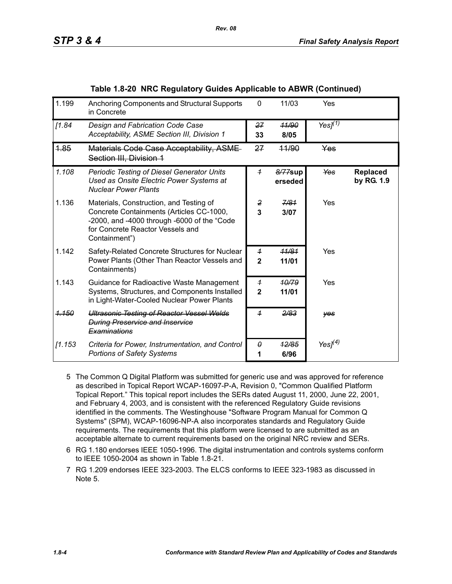| 1.199            | Anchoring Components and Structural Supports<br>in Concrete                                                                                                                             | 0                                | 11/03              | Yes        |                        |
|------------------|-----------------------------------------------------------------------------------------------------------------------------------------------------------------------------------------|----------------------------------|--------------------|------------|------------------------|
| [1.84]           | Design and Fabrication Code Case<br>Acceptability, ASME Section III, Division 1                                                                                                         | 27<br>33                         | 11/90<br>8/05      | Yes $I(1)$ |                        |
| 1.85             | Materials Code Case Acceptability, ASME-<br>Section III, Division 1                                                                                                                     | 27                               | 44/90              | Yes        |                        |
| 1.108            | Periodic Testing of Diesel Generator Units<br>Used as Onsite Electric Power Systems at<br><b>Nuclear Power Plants</b>                                                                   | $\overline{1}$                   | 8/77sup<br>erseded | <b>Yes</b> | Replaced<br>by RG. 1.9 |
| 1.136            | Materials, Construction, and Testing of<br>Concrete Containments (Articles CC-1000,<br>-2000, and -4000 through -6000 of the "Code<br>for Concrete Reactor Vessels and<br>Containment") | 2<br>3                           | 7/81<br>3/07       | Yes        |                        |
| 1.142            | Safety-Related Concrete Structures for Nuclear<br>Power Plants (Other Than Reactor Vessels and<br>Containments)                                                                         | $\overline{1}$<br>$\mathbf{2}$   | 11/81<br>11/01     | Yes        |                        |
| 1.143            | Guidance for Radioactive Waste Management<br>Systems, Structures, and Components Installed<br>in Light-Water-Cooled Nuclear Power Plants                                                | $\overline{1}$<br>$\overline{2}$ | 10/79<br>11/01     | Yes        |                        |
| <del>1.150</del> | <b>Ultrasonic Testing of Reactor Vessel Welds</b><br><b>During Preservice and Inservice</b><br><b>Examinations</b>                                                                      | $\overline{1}$                   | 2/83               | yes        |                        |
| [1.153]          | Criteria for Power, Instrumentation, and Control<br><b>Portions of Safety Systems</b>                                                                                                   | 0<br>1                           | 12/85<br>6/96      | Yes $J(4)$ |                        |

- 5 The Common Q Digital Platform was submitted for generic use and was approved for reference as described in Topical Report WCAP-16097-P-A, Revision 0, "Common Qualified Platform Topical Report." This topical report includes the SERs dated August 11, 2000, June 22, 2001, and February 4, 2003, and is consistent with the referenced Regulatory Guide revisions identified in the comments. The Westinghouse "Software Program Manual for Common Q Systems" (SPM), WCAP-16096-NP-A also incorporates standards and Regulatory Guide requirements. The requirements that this platform were licensed to are submitted as an acceptable alternate to current requirements based on the original NRC review and SERs.
- 6 RG 1.180 endorses IEEE 1050-1996. The digital instrumentation and controls systems conform to IEEE 1050-2004 as shown in Table 1.8-21.
- 7 RG 1.209 endorses IEEE 323-2003. The ELCS conforms to IEEE 323-1983 as discussed in Note 5.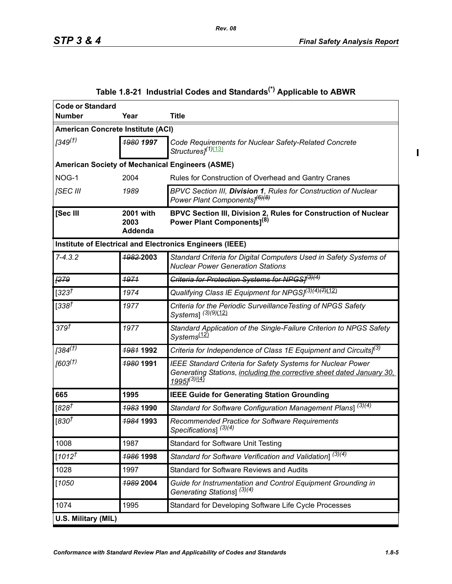$\mathbf I$ 

<span id="page-4-0"></span>

| <b>Code or Standard</b>           |                                     |                                                                                                                                                                                    |
|-----------------------------------|-------------------------------------|------------------------------------------------------------------------------------------------------------------------------------------------------------------------------------|
| <b>Number</b>                     | Year                                | <b>Title</b>                                                                                                                                                                       |
| American Concrete Institute (ACI) |                                     |                                                                                                                                                                                    |
| 1349 <sup>(†)</sup>               | 1980 1997                           | Code Requirements for Nuclear Safety-Related Concrete<br>Structures] <sup>(1)<u>(13)</u></sup>                                                                                     |
|                                   |                                     | <b>American Society of Mechanical Engineers (ASME)</b>                                                                                                                             |
| NOG-1                             | 2004                                | Rules for Construction of Overhead and Gantry Cranes                                                                                                                               |
| [SEC III                          | 1989                                | BPVC Section III, Division 1, Rules for Construction of Nuclear<br>Power Plant Components] <sup>(6)(8)</sup>                                                                       |
| [Sec III                          | <b>2001 with</b><br>2003<br>Addenda | BPVC Section III, Division 2, Rules for Construction of Nuclear<br>Power Plant Components] <sup>(8)</sup>                                                                          |
|                                   |                                     | Institute of Electrical and Electronics Engineers (IEEE)                                                                                                                           |
| $7 - 4.3.2$                       | 1982-2003                           | Standard Criteria for Digital Computers Used in Safety Systems of<br><b>Nuclear Power Generation Stations</b>                                                                      |
| F279                              | 1971                                | Criteria for Protection Systems for NPGS/ <sup>(3)(4)</sup>                                                                                                                        |
| $[323^{\dagger}]$                 | 1974                                | Qualifying Class IE Equipment for NPGS[ <sup>(3)(4){7)</sup> [12)                                                                                                                  |
| [338]                             | 1977                                | Criteria for the Periodic Surveillance Testing of NPGS Safety<br>Systems] (3)(9)(12)                                                                                               |
| 379 <sup>†</sup>                  | 1977                                | Standard Application of the Single-Failure Criterion to NPGS Safety<br>Systems <sup>(12)</sup>                                                                                     |
| $[384^{(1)}]$                     | <b>1981 1992</b>                    | Criteria for Independence of Class 1E Equipment and Circuits] <sup>(3)</sup>                                                                                                       |
| [603 <sup>(†)</sup> ]             | 1980 1991                           | <b>IEEE Standard Criteria for Safety Systems for Nuclear Power</b><br>Generating Stations, including the corrective sheet dated January 30,<br>19951 <sup>(3)</sup> <sup>(4)</sup> |
| 665                               | 1995                                | <b>IEEE Guide for Generating Station Grounding</b>                                                                                                                                 |
| $[828^{\dagger}]$                 | 1983 1990                           | Standard for Software Configuration Management Plans] $\sqrt{(3)(4)}$                                                                                                              |
| [830 $\bar{t}$                    | <b>1984 1993</b>                    | Recommended Practice for Software Requirements<br>Specifications] <sup>(3)(4)</sup>                                                                                                |
| 1008                              | 1987                                | <b>Standard for Software Unit Testing</b>                                                                                                                                          |
| $[1012^{\dagger}]$                | 1986 1998                           | Standard for Software Verification and Validation] $\sqrt{(3)(4)}$                                                                                                                 |
| 1028                              | 1997                                | <b>Standard for Software Reviews and Audits</b>                                                                                                                                    |
| $[1050$                           | 1989 2004                           | Guide for Instrumentation and Control Equipment Grounding in<br>Generating Stations] <sup>(3)(4)</sup>                                                                             |
| 1074                              | 1995                                | Standard for Developing Software Life Cycle Processes                                                                                                                              |
| U.S. Military (MIL)               |                                     |                                                                                                                                                                                    |

# **Table 1.8-21 Industrial Codes and Standards(\*) Applicable to ABWR**

*Rev. 08*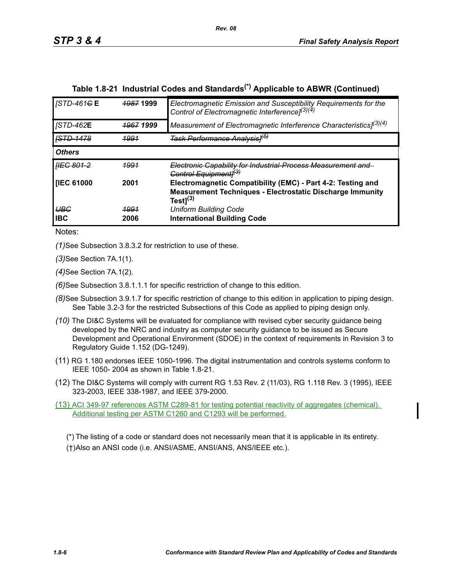| <b>STD-461GE</b>         | <b>1987 1999</b>     | Electromagnetic Emission and Susceptibility Requirements for the<br>Control of Electromagnetic Interference] <sup>(3)(4)</sup> |
|--------------------------|----------------------|--------------------------------------------------------------------------------------------------------------------------------|
| <b>JSTD-462E</b>         | <del>1967</del> 1999 | Measurement of Electromagnetic Interference Characteristics] <sup>(3)(4)</sup>                                                 |
| <b>ISTD-1478</b>         | <u> 1991</u>         | <del>Task Performance Analysis1<sup>(5)</sup></del>                                                                            |
| <b>Others</b>            |                      |                                                                                                                                |
| <del>IIEC 801-2</del>    | <u> 1991</u>         | Electronic Capability for Industrial Process Measurement and<br>Control Equipmentl <sup>(3)</sup>                              |
| <b>IEC 61000</b>         | 2001                 | Electromagnetic Compatibility (EMC) - Part 4-2: Testing and                                                                    |
|                          |                      | Measurement Techniques - Electrostatic Discharge Immunity<br>Test $]^{(3)}$                                                    |
| <b>UBG</b><br><b>IBC</b> | <u> 1991</u><br>2006 | <b>Uniform Building Code</b><br><b>International Building Code</b>                                                             |

# **Table 1.8-21 Industrial Codes and Standards(\*) Applicable to ABWR (Continued)**

Notes:

*(1)*See Subsection 3.8.3.2 for restriction to use of these.

*(3)*See Section 7A.1(1).

*(4)*See Section 7A.1(2).

*(6)*See Subsection 3.8.1.1.1 for specific restriction of change to this edition.

- *(8)*See Subsection 3.9.1.7 for specific restriction of change to this edition in application to piping design. See Table 3.2-3 for the restricted Subsections of this Code as applied to piping design only.
- *(10)* The DI&C Systems will be evaluated for compliance with revised cyber security guidance being developed by the NRC and industry as computer security guidance to be issued as Secure Development and Operational Environment (SDOE) in the context of requirements in Revision 3 to Regulatory Guide 1.152 (DG-1249).
- (11) RG 1.180 endorses IEEE 1050-1996. The digital instrumentation and controls systems conform to IEEE 1050- 2004 as shown in Table 1.8-21.
- (12) The DI&C Systems will comply with current RG 1.53 Rev. 2 (11/03), RG 1.118 Rev. 3 (1995), IEEE 323-2003, IEEE 338-1987, and IEEE 379-2000.

(13) ACI 349-97 references ASTM C289-81 for testing potential reactivity of aggregates (chemical). Additional testing per ASTM C1260 and C1293 will be performed.

(\*) The listing of a code or standard does not necessarily mean that it is applicable in its entirety. (†)Also an ANSI code (i.e. ANSI/ASME, ANSI/ANS, ANS/IEEE etc.).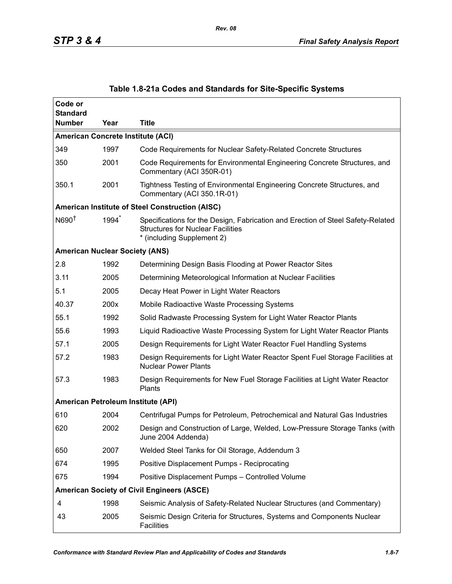| Code or<br><b>Standard</b> |      |                                                                                                                                                           |
|----------------------------|------|-----------------------------------------------------------------------------------------------------------------------------------------------------------|
| <b>Number</b>              | Year | Title                                                                                                                                                     |
|                            |      | <b>American Concrete Institute (ACI)</b>                                                                                                                  |
| 349                        | 1997 | Code Requirements for Nuclear Safety-Related Concrete Structures                                                                                          |
| 350                        | 2001 | Code Requirements for Environmental Engineering Concrete Structures, and<br>Commentary (ACI 350R-01)                                                      |
| 350.1                      | 2001 | Tightness Testing of Environmental Engineering Concrete Structures, and<br>Commentary (ACI 350.1R-01)                                                     |
|                            |      | <b>American Institute of Steel Construction (AISC)</b>                                                                                                    |
| N690 <sup>†</sup>          | 1994 | Specifications for the Design, Fabrication and Erection of Steel Safety-Related<br><b>Structures for Nuclear Facilities</b><br>* (including Supplement 2) |
|                            |      | <b>American Nuclear Society (ANS)</b>                                                                                                                     |
| 2.8                        | 1992 | Determining Design Basis Flooding at Power Reactor Sites                                                                                                  |
| 3.11                       | 2005 | Determining Meteorological Information at Nuclear Facilities                                                                                              |
| 5.1                        | 2005 | Decay Heat Power in Light Water Reactors                                                                                                                  |
| 40.37                      | 200x | Mobile Radioactive Waste Processing Systems                                                                                                               |
| 55.1                       | 1992 | Solid Radwaste Processing System for Light Water Reactor Plants                                                                                           |
| 55.6                       | 1993 | Liquid Radioactive Waste Processing System for Light Water Reactor Plants                                                                                 |
| 57.1                       | 2005 | Design Requirements for Light Water Reactor Fuel Handling Systems                                                                                         |
| 57.2                       | 1983 | Design Requirements for Light Water Reactor Spent Fuel Storage Facilities at<br><b>Nuclear Power Plants</b>                                               |
| 57.3                       | 1983 | Design Requirements for New Fuel Storage Facilities at Light Water Reactor<br>Plants                                                                      |
|                            |      | American Petroleum Institute (API)                                                                                                                        |
| 610                        | 2004 | Centrifugal Pumps for Petroleum, Petrochemical and Natural Gas Industries                                                                                 |
| 620                        | 2002 | Design and Construction of Large, Welded, Low-Pressure Storage Tanks (with<br>June 2004 Addenda)                                                          |
| 650                        | 2007 | Welded Steel Tanks for Oil Storage, Addendum 3                                                                                                            |
| 674                        | 1995 | Positive Displacement Pumps - Reciprocating                                                                                                               |
| 675                        | 1994 | Positive Displacement Pumps - Controlled Volume                                                                                                           |
|                            |      | <b>American Society of Civil Engineers (ASCE)</b>                                                                                                         |
| 4                          | 1998 | Seismic Analysis of Safety-Related Nuclear Structures (and Commentary)                                                                                    |
| 43                         | 2005 | Seismic Design Criteria for Structures, Systems and Components Nuclear<br><b>Facilities</b>                                                               |

## **Table 1.8-21a Codes and Standards for Site-Specific Systems**